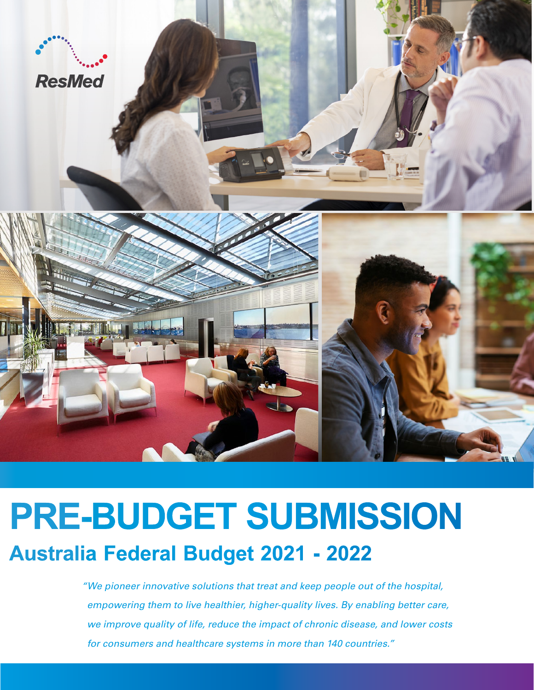

# **PRE-BUDGET SUBMISSION Australia Federal Budget 2021 - 2022**

*" We pioneer innovative solutions that treat and keep people out of the hospital, empowering them to live healthier, higher-quality lives. By enabling better care, we improve quality of life, reduce the impact of chronic disease, and lower costs for consumers and healthcare systems in more than 140 countries."*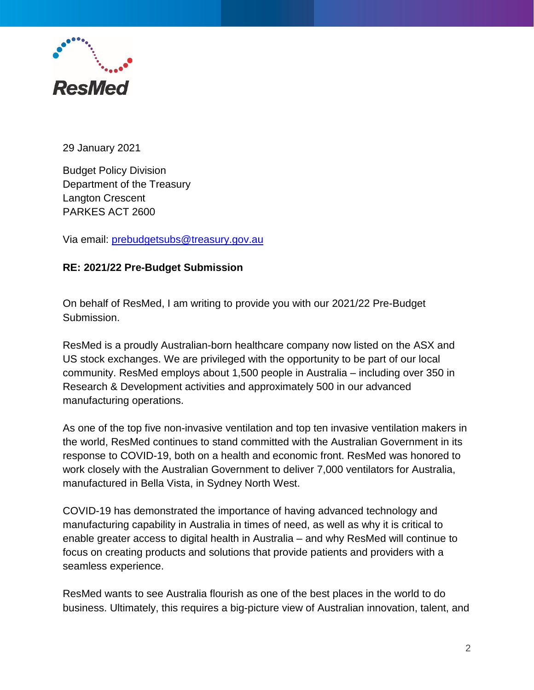

29 January 2021

Budget Policy Division Department of the Treasury Langton Crescent PARKES ACT 2600

Via email: [prebudgetsubs@treasury.gov.au](mailto:prebudgetsubs@treasury.gov.au)

#### **RE: 2021/22 Pre-Budget Submission**

On behalf of ResMed, I am writing to provide you with our 2021/22 Pre-Budget Submission.

ResMed is a proudly Australian-born healthcare company now listed on the ASX and US stock exchanges. We are privileged with the opportunity to be part of our local community. ResMed employs about 1,500 people in Australia – including over 350 in Research & Development activities and approximately 500 in our advanced manufacturing operations.

As one of the top five non-invasive ventilation and top ten invasive ventilation makers in the world, ResMed continues to stand committed with the Australian Government in its response to COVID-19, both on a health and economic front. ResMed was honored to work closely with the Australian Government to deliver 7,000 ventilators for Australia, manufactured in Bella Vista, in Sydney North West.

COVID-19 has demonstrated the importance of having advanced technology and manufacturing capability in Australia in times of need, as well as why it is critical to enable greater access to digital health in Australia – and why ResMed will continue to focus on creating products and solutions that provide patients and providers with a seamless experience.

ResMed wants to see Australia flourish as one of the best places in the world to do business. Ultimately, this requires a big-picture view of Australian innovation, talent, and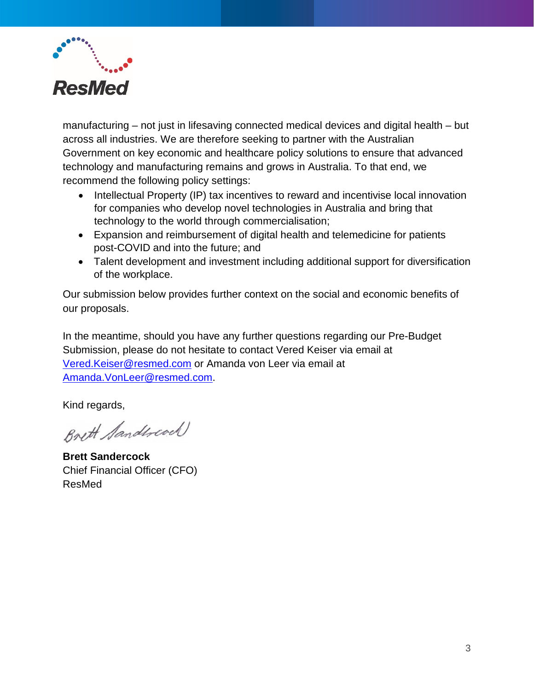

manufacturing – not just in lifesaving connected medical devices and digital health – but across all industries. We are therefore seeking to partner with the Australian Government on key economic and healthcare policy solutions to ensure that advanced technology and manufacturing remains and grows in Australia. To that end, we recommend the following policy settings:

- Intellectual Property (IP) tax incentives to reward and incentivise local innovation for companies who develop novel technologies in Australia and bring that technology to the world through commercialisation;
- Expansion and reimbursement of digital health and telemedicine for patients post-COVID and into the future; and
- Talent development and investment including additional support for diversification of the workplace.

Our submission below provides further context on the social and economic benefits of our proposals.

In the meantime, should you have any further questions regarding our Pre-Budget Submission, please do not hesitate to contact Vered Keiser via email at [Vered.Keiser@resmed.com](mailto:Vered.Keiser@resmed.com) or Amanda von Leer via email at [Amanda.VonLeer@resmed.com.](mailto:Amanda.VonLeer@resmed.com)

Kind regards,

Brett Sandwood

**Brett Sandercock**  Chief Financial Officer (CFO) ResMed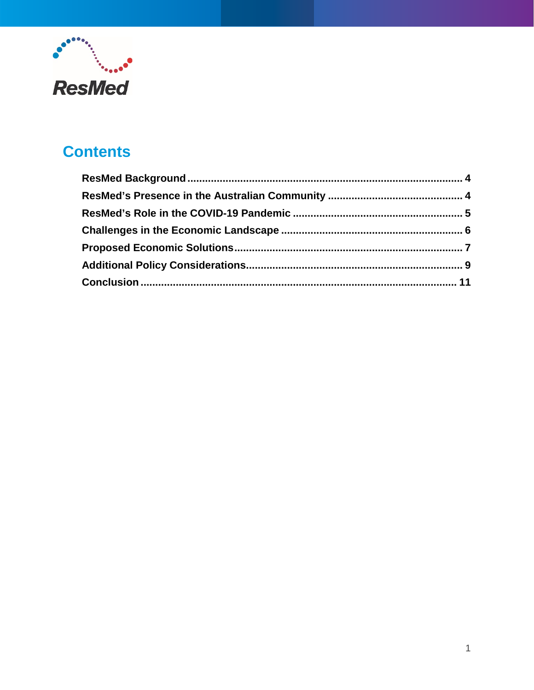

# **Contents**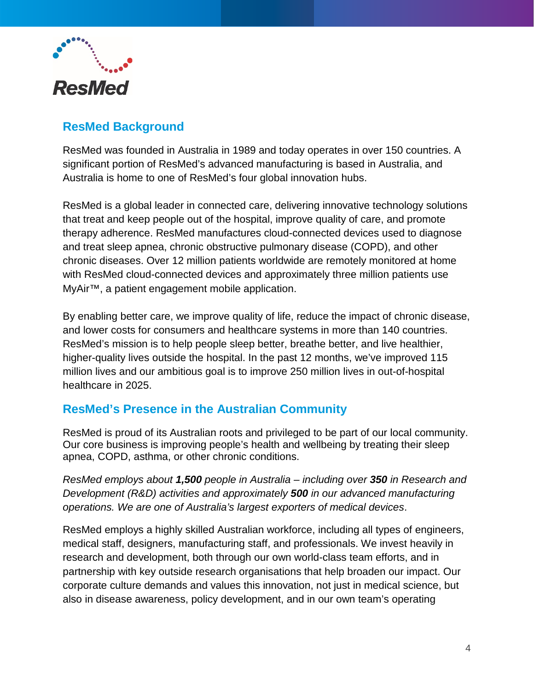

## <span id="page-4-0"></span>**ResMed Background**

ResMed was founded in Australia in 1989 and today operates in over 150 countries. A significant portion of ResMed's advanced manufacturing is based in Australia, and Australia is home to one of ResMed's four global innovation hubs.

ResMed is a global leader in connected care, delivering innovative technology solutions that treat and keep people out of the hospital, improve quality of care, and promote therapy adherence. ResMed manufactures cloud-connected devices used to diagnose and treat sleep apnea, chronic obstructive pulmonary disease (COPD), and other chronic diseases. Over 12 million patients worldwide are remotely monitored at home with ResMed cloud-connected devices and approximately three million patients use MyAir™, a patient engagement mobile application.

By enabling better care, we improve quality of life, reduce the impact of chronic disease, and lower costs for consumers and healthcare systems in more than 140 countries. ResMed's mission is to help people sleep better, breathe better, and live healthier, higher-quality lives outside the hospital. In the past 12 months, we've improved 115 million lives and our ambitious goal is to improve 250 million lives in out-of-hospital healthcare in 2025.

# <span id="page-4-1"></span>**ResMed's Presence in the Australian Community**

ResMed is proud of its Australian roots and privileged to be part of our local community. Our core business is improving people's health and wellbeing by treating their sleep apnea, COPD, asthma, or other chronic conditions.

*ResMed employs about 1,500 people in Australia – including over 350 in Research and Development (R&D) activities and approximately 500 in our advanced manufacturing operations. We are one of Australia's largest exporters of medical devices*.

ResMed employs a highly skilled Australian workforce, including all types of engineers, medical staff, designers, manufacturing staff, and professionals. We invest heavily in research and development, both through our own world-class team efforts, and in partnership with key outside research organisations that help broaden our impact. Our corporate culture demands and values this innovation, not just in medical science, but also in disease awareness, policy development, and in our own team's operating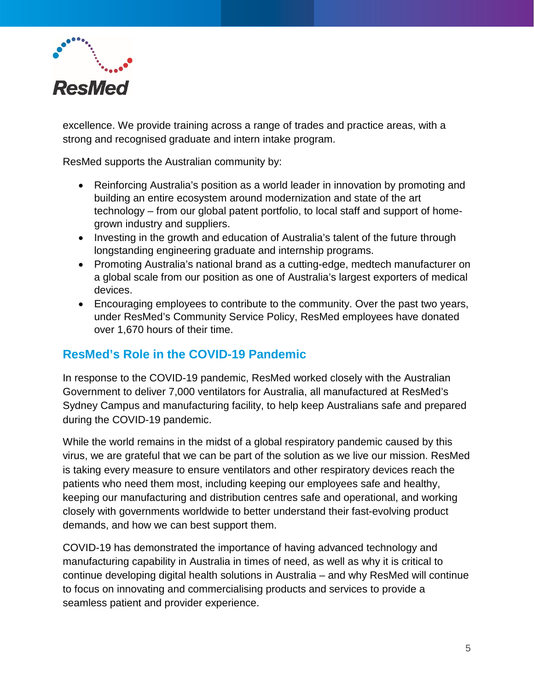

excellence. We provide training across a range of trades and practice areas, with a strong and recognised graduate and intern intake program.

ResMed supports the Australian community by:

- Reinforcing Australia's position as a world leader in innovation by promoting and building an entire ecosystem around modernization and state of the art technology – from our global patent portfolio, to local staff and support of homegrown industry and suppliers.
- Investing in the growth and education of Australia's talent of the future through longstanding engineering graduate and internship programs.
- Promoting Australia's national brand as a cutting-edge, medtech manufacturer on a global scale from our position as one of Australia's largest exporters of medical devices.
- Encouraging employees to contribute to the community. Over the past two years, under ResMed's Community Service Policy, ResMed employees have donated over 1,670 hours of their time.

#### <span id="page-5-0"></span>**ResMed's Role in the COVID-19 Pandemic**

In response to the COVID-19 pandemic, ResMed worked closely with the Australian Government to deliver 7,000 ventilators for Australia, all manufactured at ResMed's Sydney Campus and manufacturing facility, to help keep Australians safe and prepared during the COVID-19 pandemic.

While the world remains in the midst of a global respiratory pandemic caused by this virus, we are grateful that we can be part of the solution as we live our mission. ResMed is taking every measure to ensure ventilators and other respiratory devices reach the patients who need them most, including keeping our employees safe and healthy, keeping our manufacturing and distribution centres safe and operational, and working closely with governments worldwide to better understand their fast-evolving product demands, and how we can best support them.

COVID-19 has demonstrated the importance of having advanced technology and manufacturing capability in Australia in times of need, as well as why it is critical to continue developing digital health solutions in Australia – and why ResMed will continue to focus on innovating and commercialising products and services to provide a seamless patient and provider experience.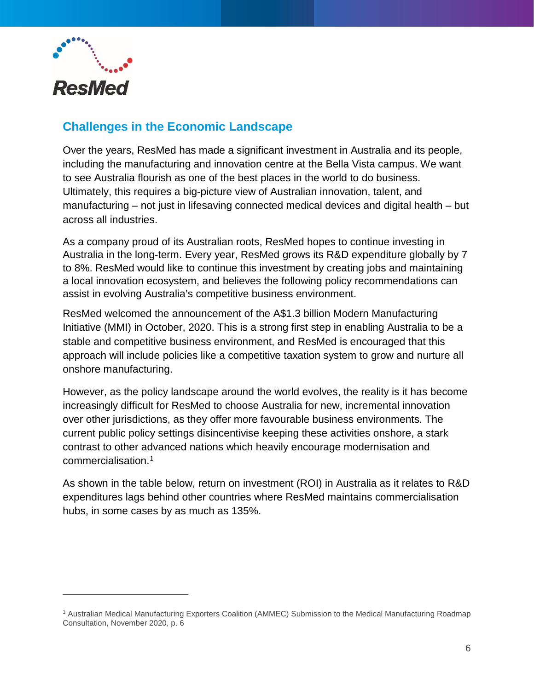

 $\overline{a}$ 

## <span id="page-6-0"></span>**Challenges in the Economic Landscape**

Over the years, ResMed has made a significant investment in Australia and its people, including the manufacturing and innovation centre at the Bella Vista campus. We want to see Australia flourish as one of the best places in the world to do business. Ultimately, this requires a big-picture view of Australian innovation, talent, and manufacturing – not just in lifesaving connected medical devices and digital health – but across all industries.

As a company proud of its Australian roots, ResMed hopes to continue investing in Australia in the long-term. Every year, ResMed grows its R&D expenditure globally by 7 to 8%. ResMed would like to continue this investment by creating jobs and maintaining a local innovation ecosystem, and believes the following policy recommendations can assist in evolving Australia's competitive business environment.

ResMed welcomed the announcement of the A\$1.3 billion Modern Manufacturing Initiative (MMI) in October, 2020. This is a strong first step in enabling Australia to be a stable and competitive business environment, and ResMed is encouraged that this approach will include policies like a competitive taxation system to grow and nurture all onshore manufacturing.

However, as the policy landscape around the world evolves, the reality is it has become increasingly difficult for ResMed to choose Australia for new, incremental innovation over other jurisdictions, as they offer more favourable business environments. The current public policy settings disincentivise keeping these activities onshore, a stark contrast to other advanced nations which heavily encourage modernisation and commercialisation.[1](#page-6-1)

As shown in the table below, return on investment (ROI) in Australia as it relates to R&D expenditures lags behind other countries where ResMed maintains commercialisation hubs, in some cases by as much as 135%.

<span id="page-6-1"></span><sup>1</sup> Australian Medical Manufacturing Exporters Coalition (AMMEC) Submission to the Medical Manufacturing Roadmap Consultation, November 2020, p. 6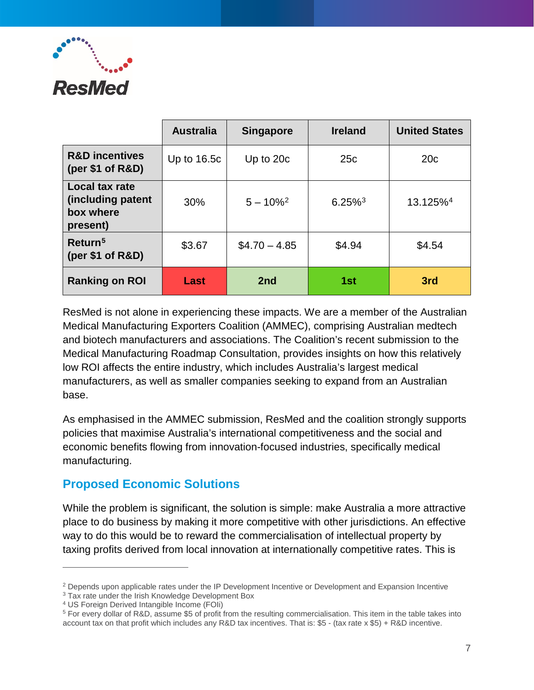

|                                                              | <b>Australia</b> | <b>Singapore</b> | <b>Ireland</b>        | <b>United States</b> |
|--------------------------------------------------------------|------------------|------------------|-----------------------|----------------------|
| <b>R&amp;D incentives</b><br>(per $$1$ of R&D)               | Up to $16.5c$    | Up to 20c        | 25c                   | 20 <sub>c</sub>      |
| Local tax rate<br>(including patent<br>box where<br>present) | 30%              | $5 - 10\%^2$     | $6.25\%$ <sup>3</sup> | 13.125% <sup>4</sup> |
| Return <sup>5</sup><br>(per \$1 of R&D)                      | \$3.67           | $$4.70 - 4.85$   | \$4.94                | \$4.54               |
| <b>Ranking on ROI</b>                                        | Last             | 2nd              | 1st                   | 3rd                  |

ResMed is not alone in experiencing these impacts. We are a member of the Australian Medical Manufacturing Exporters Coalition (AMMEC), comprising Australian medtech and biotech manufacturers and associations. The Coalition's recent submission to the Medical Manufacturing Roadmap Consultation, provides insights on how this relatively low ROI affects the entire industry, which includes Australia's largest medical manufacturers, as well as smaller companies seeking to expand from an Australian base.

As emphasised in the AMMEC submission, ResMed and the coalition strongly supports policies that maximise Australia's international competitiveness and the social and economic benefits flowing from innovation-focused industries, specifically medical manufacturing.

#### <span id="page-7-0"></span>**Proposed Economic Solutions**

While the problem is significant, the solution is simple: make Australia a more attractive place to do business by making it more competitive with other jurisdictions. An effective way to do this would be to reward the commercialisation of intellectual property by taxing profits derived from local innovation at internationally competitive rates. This is

 $\overline{a}$ 

<span id="page-7-1"></span><sup>&</sup>lt;sup>2</sup> Depends upon applicable rates under the IP Development Incentive or Development and Expansion Incentive

<span id="page-7-2"></span><sup>&</sup>lt;sup>3</sup> Tax rate under the Irish Knowledge Development Box

<span id="page-7-3"></span><sup>4</sup> US Foreign Derived Intangible Income (FOIi)

<span id="page-7-4"></span><sup>5</sup> For every dollar of R&D, assume \$5 of profit from the resulting commercialisation. This item in the table takes into account tax on that profit which includes any R&D tax incentives. That is: \$5 - (tax rate x \$5) + R&D incentive.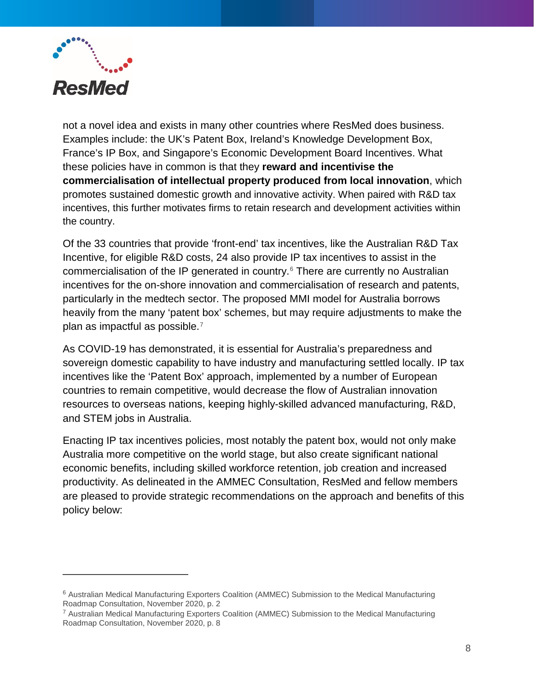

-

not a novel idea and exists in many other countries where ResMed does business. Examples include: the UK's Patent Box, Ireland's Knowledge Development Box, France's IP Box, and Singapore's Economic Development Board Incentives. What these policies have in common is that they **reward and incentivise the commercialisation of intellectual property produced from local innovation**, which promotes sustained domestic growth and innovative activity. When paired with R&D tax incentives, this further motivates firms to retain research and development activities within the country.

Of the 33 countries that provide 'front-end' tax incentives, like the Australian R&D Tax Incentive, for eligible R&D costs, 24 also provide IP tax incentives to assist in the commercialisation of the IP generated in country. [6](#page-8-0) There are currently no Australian incentives for the on-shore innovation and commercialisation of research and patents, particularly in the medtech sector. The proposed MMI model for Australia borrows heavily from the many 'patent box' schemes, but may require adjustments to make the plan as impactful as possible.<sup>[7](#page-8-1)</sup>

As COVID-19 has demonstrated, it is essential for Australia's preparedness and sovereign domestic capability to have industry and manufacturing settled locally. IP tax incentives like the 'Patent Box' approach, implemented by a number of European countries to remain competitive, would decrease the flow of Australian innovation resources to overseas nations, keeping highly-skilled advanced manufacturing, R&D, and STEM jobs in Australia.

Enacting IP tax incentives policies, most notably the patent box, would not only make Australia more competitive on the world stage, but also create significant national economic benefits, including skilled workforce retention, job creation and increased productivity. As delineated in the AMMEC Consultation, ResMed and fellow members are pleased to provide strategic recommendations on the approach and benefits of this policy below:

<span id="page-8-0"></span><sup>6</sup> Australian Medical Manufacturing Exporters Coalition (AMMEC) Submission to the Medical Manufacturing Roadmap Consultation, November 2020, p. 2

<span id="page-8-1"></span><sup>7</sup> Australian Medical Manufacturing Exporters Coalition (AMMEC) Submission to the Medical Manufacturing Roadmap Consultation, November 2020, p. 8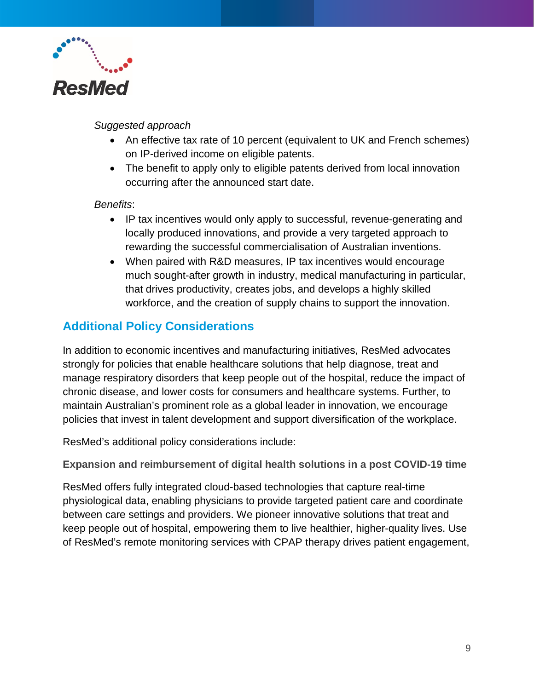

#### *Suggested approach*

- An effective tax rate of 10 percent (equivalent to UK and French schemes) on IP-derived income on eligible patents.
- The benefit to apply only to eligible patents derived from local innovation occurring after the announced start date.

#### *Benefits*:

- IP tax incentives would only apply to successful, revenue-generating and locally produced innovations, and provide a very targeted approach to rewarding the successful commercialisation of Australian inventions.
- When paired with R&D measures, IP tax incentives would encourage much sought-after growth in industry, medical manufacturing in particular, that drives productivity, creates jobs, and develops a highly skilled workforce, and the creation of supply chains to support the innovation.

#### <span id="page-9-0"></span>**Additional Policy Considerations**

In addition to economic incentives and manufacturing initiatives, ResMed advocates strongly for policies that enable healthcare solutions that help diagnose, treat and manage respiratory disorders that keep people out of the hospital, reduce the impact of chronic disease, and lower costs for consumers and healthcare systems. Further, to maintain Australian's prominent role as a global leader in innovation, we encourage policies that invest in talent development and support diversification of the workplace.

ResMed's additional policy considerations include:

**Expansion and reimbursement of digital health solutions in a post COVID-19 time**

ResMed offers fully integrated cloud-based technologies that capture real-time physiological data, enabling physicians to provide targeted patient care and coordinate between care settings and providers. We pioneer innovative solutions that treat and keep people out of hospital, empowering them to live healthier, higher-quality lives. Use of ResMed's remote monitoring services with CPAP therapy drives patient engagement,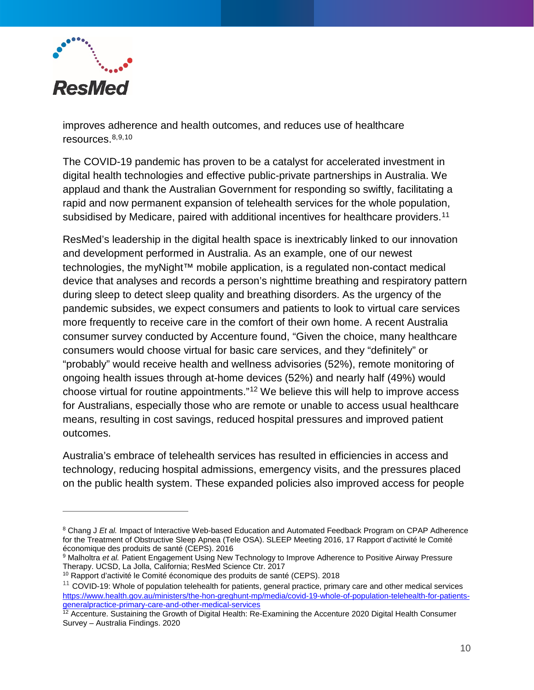

-

improves adherence and health outcomes, and reduces use of healthcare resources. $8,9,10$  $8,9,10$  $8,9,10$  $8,9,10$ 

The COVID-19 pandemic has proven to be a catalyst for accelerated investment in digital health technologies and effective public-private partnerships in Australia. We applaud and thank the Australian Government for responding so swiftly, facilitating a rapid and now permanent expansion of telehealth services for the whole population, subsidised by Medicare, paired with additional incentives for healthcare providers.<sup>[11](#page-10-3)</sup>

ResMed's leadership in the digital health space is inextricably linked to our innovation and development performed in Australia. As an example, one of our newest technologies, the myNight™ mobile application, is a regulated non-contact medical device that analyses and records a person's nighttime breathing and respiratory pattern during sleep to detect sleep quality and breathing disorders. As the urgency of the pandemic subsides, we expect consumers and patients to look to virtual care services more frequently to receive care in the comfort of their own home. A recent Australia consumer survey conducted by Accenture found, "Given the choice, many healthcare consumers would choose virtual for basic care services, and they "definitely" or "probably" would receive health and wellness advisories (52%), remote monitoring of ongoing health issues through at-home devices (52%) and nearly half (49%) would choose virtual for routine appointments."[12](#page-10-4) We believe this will help to improve access for Australians, especially those who are remote or unable to access usual healthcare means, resulting in cost savings, reduced hospital pressures and improved patient outcomes.

Australia's embrace of telehealth services has resulted in efficiencies in access and technology, reducing hospital admissions, emergency visits, and the pressures placed on the public health system. These expanded policies also improved access for people

<span id="page-10-0"></span><sup>&</sup>lt;sup>8</sup> Chang J *Et al.* Impact of Interactive Web-based Education and Automated Feedback Program on CPAP Adherence for the Treatment of Obstructive Sleep Apnea (Tele OSA). SLEEP Meeting 2016, 17 Rapport d'activité le Comité économique des produits de santé (CEPS). 2016

<span id="page-10-1"></span><sup>&</sup>lt;sup>9</sup> Malholtra *et al.* Patient Engagement Using New Technology to Improve Adherence to Positive Airway Pressure Therapy. UCSD, La Jolla, California; ResMed Science Ctr. 2017

<span id="page-10-2"></span><sup>&</sup>lt;sup>10</sup> Rapport d'activité le Comité économique des produits de santé (CEPS). 2018

<span id="page-10-3"></span> $11$  COVID-19: Whole of population telehealth for patients, general practice, primary care and other medical services [https://www.health.gov.au/ministers/the-hon-greghunt-mp/media/covid-19-whole-of-population-telehealth-for-patients](https://www.health.gov.au/ministers/the-hon-greghunt-mp/media/covid-19-whole-of-population-telehealth-for-patients-generalpractice-primary-care-and-other-medical-services)[generalpractice-primary-care-and-other-medical-services](https://www.health.gov.au/ministers/the-hon-greghunt-mp/media/covid-19-whole-of-population-telehealth-for-patients-generalpractice-primary-care-and-other-medical-services)

<span id="page-10-4"></span><sup>&</sup>lt;sup>12</sup> Accenture. Sustaining the Growth of Digital Health: Re-Examining the Accenture 2020 Digital Health Consumer Survey – Australia Findings. 2020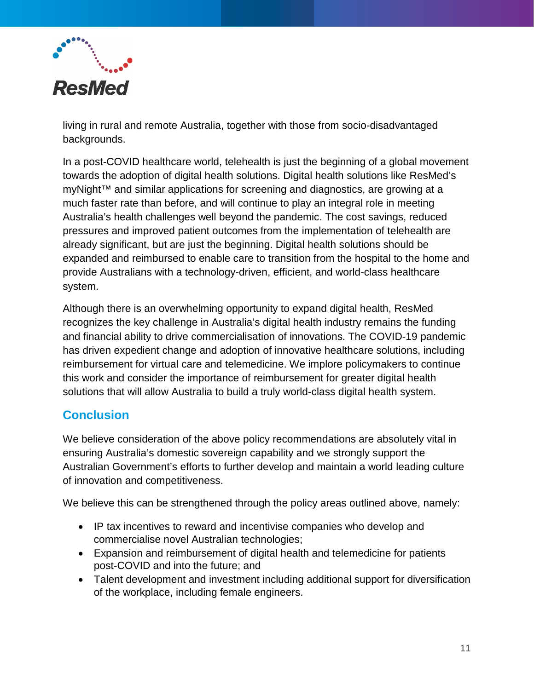

living in rural and remote Australia, together with those from socio-disadvantaged backgrounds.

In a post-COVID healthcare world, telehealth is just the beginning of a global movement towards the adoption of digital health solutions. Digital health solutions like ResMed's myNight™ and similar applications for screening and diagnostics, are growing at a much faster rate than before, and will continue to play an integral role in meeting Australia's health challenges well beyond the pandemic. The cost savings, reduced pressures and improved patient outcomes from the implementation of telehealth are already significant, but are just the beginning. Digital health solutions should be expanded and reimbursed to enable care to transition from the hospital to the home and provide Australians with a technology-driven, efficient, and world-class healthcare system.

Although there is an overwhelming opportunity to expand digital health, ResMed recognizes the key challenge in Australia's digital health industry remains the funding and financial ability to drive commercialisation of innovations. The COVID-19 pandemic has driven expedient change and adoption of innovative healthcare solutions, including reimbursement for virtual care and telemedicine. We implore policymakers to continue this work and consider the importance of reimbursement for greater digital health solutions that will allow Australia to build a truly world-class digital health system.

#### <span id="page-11-0"></span>**Conclusion**

We believe consideration of the above policy recommendations are absolutely vital in ensuring Australia's domestic sovereign capability and we strongly support the Australian Government's efforts to further develop and maintain a world leading culture of innovation and competitiveness.

We believe this can be strengthened through the policy areas outlined above, namely:

- IP tax incentives to reward and incentivise companies who develop and commercialise novel Australian technologies;
- Expansion and reimbursement of digital health and telemedicine for patients post-COVID and into the future; and
- Talent development and investment including additional support for diversification of the workplace, including female engineers.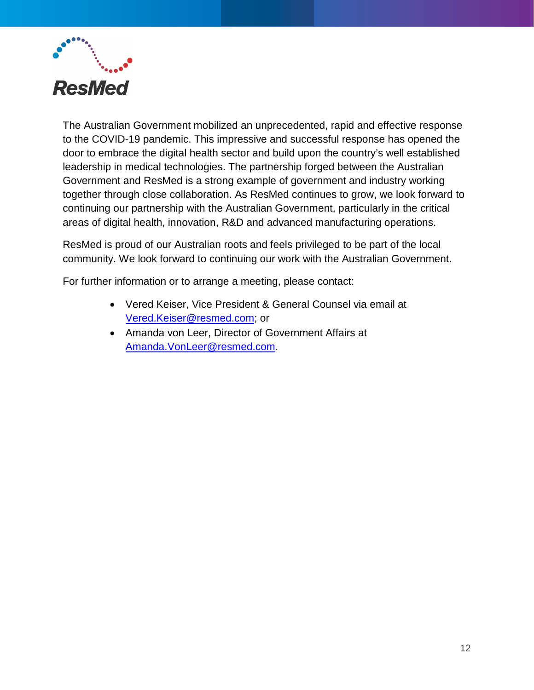

The Australian Government mobilized an unprecedented, rapid and effective response to the COVID-19 pandemic. This impressive and successful response has opened the door to embrace the digital health sector and build upon the country's well established leadership in medical technologies. The partnership forged between the Australian Government and ResMed is a strong example of government and industry working together through close collaboration. As ResMed continues to grow, we look forward to continuing our partnership with the Australian Government, particularly in the critical areas of digital health, innovation, R&D and advanced manufacturing operations.

ResMed is proud of our Australian roots and feels privileged to be part of the local community. We look forward to continuing our work with the Australian Government.

For further information or to arrange a meeting, please contact:

- Vered Keiser, Vice President & General Counsel via email at [Vered.Keiser@resmed.com;](mailto:Vered.Keiser@resmed.com) or
- Amanda von Leer, Director of Government Affairs at [Amanda.VonLeer@resmed.com.](mailto:Amanda.VonLeer@resmed.com)